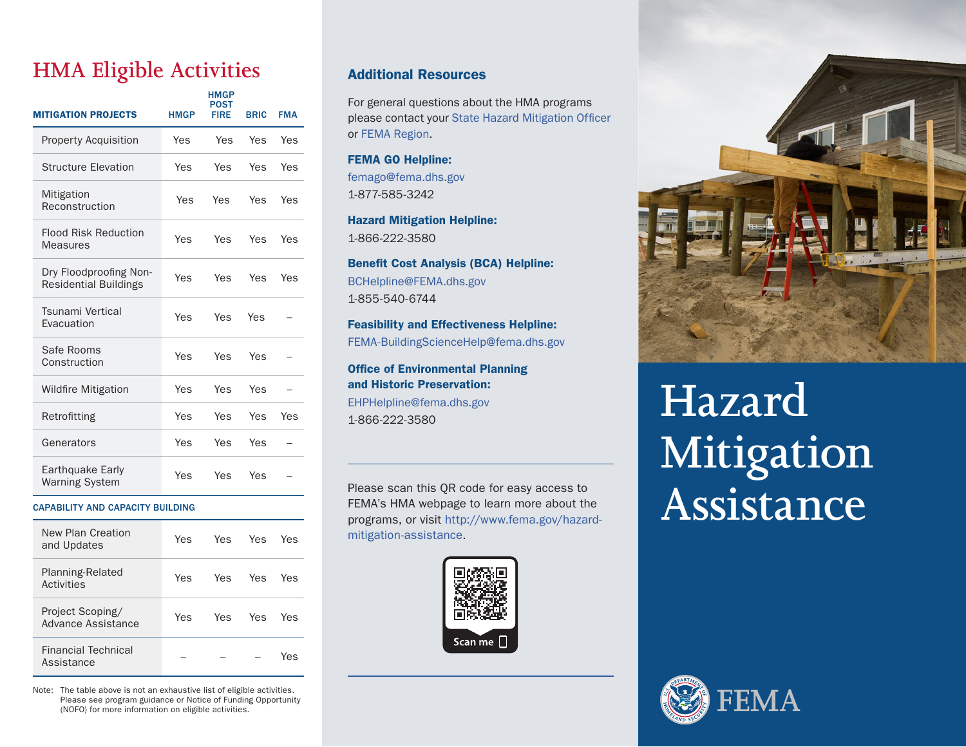## **HMA Eligible Activities**

| <b>MITIGATION PROJECTS</b>                             | <b>HMGP</b> | <b>HMGP</b><br>POST<br>FIRE | <b>BRIC</b> | <b>FMA</b> |
|--------------------------------------------------------|-------------|-----------------------------|-------------|------------|
| <b>Property Acquisition</b>                            | Yes         | Yes                         | Yes         | Yes        |
| <b>Structure Elevation</b>                             | Yes         | Yes                         | Yes         | Yes        |
| Mitigation<br>Reconstruction                           | Yes         | Yes                         | Yes         | Yes        |
| <b>Flood Risk Reduction</b><br><b>Measures</b>         | Yes         | Yes                         | Yes         | Yes        |
| Dry Floodproofing Non-<br><b>Residential Buildings</b> | Yes         | Yes                         | Yes         | Yes        |
| Tsunami Vertical<br>Evacuation                         | Yes         | Yes                         | Yes         |            |
| Safe Rooms<br>Construction                             | Yes         | Yes                         | Yes         |            |
| <b>Wildfire Mitigation</b>                             | Yes         | Yes                         | Yes         |            |
| Retrofitting                                           | Yes         | Yes                         | Yes         | Yes        |
| Generators                                             | Yes         | Yes                         | Yes         |            |
| Earthquake Early<br><b>Warning System</b>              | Yes         | Yes                         | Yes         |            |

#### CAPABILITY AND CAPACITY BUILDING

| New Plan Creation<br>and Updates              | Yes | Yes | Yes | Yes |
|-----------------------------------------------|-----|-----|-----|-----|
| Planning-Related<br>Activities                | Yes | Yes | Yes | Yes |
| Project Scoping/<br><b>Advance Assistance</b> | Yes | Yes | Yes | Yes |
| <b>Financial Technical</b><br>Assistance      |     |     |     | Yes |

Note: The table above is not an exhaustive list of eligible activities. Please see program guidance or Notice of Funding Opportunity (NOFO) for more information on eligible activities.

### Additional Resources

For general questions about the HMA programs please contact your [State Hazard Mitigation Officer](https://www.fema.gov/grants/mitigation/state-contacts) or [FEMA Region.](https://www.fema.gov/about/organization/regions)

FEMA GO Helpline: [femago@fema.dhs.gov](mailto:femago@fema.dhs.gov) 1-877-585-3242

Hazard Mitigation Helpline: 1-866-222-3580

Benefit Cost Analysis (BCA) Helpline: [BCHelpline@FEMA.dhs.gov](mailto:BCHelpline@FEMA.dhs.gov) 1-855-540-6744

Feasibility and Effectiveness Helpline: [FEMA-BuildingScienceHelp@fema.dhs.gov](mailto:FEMA-BuildingScienceHelp@fema.dhs.gov)

Office of Environmental Planning and Historic Preservation: [EHPHelpline@fema.dhs.gov](mailto:EHPHelpline@fema.dhs.gov) 1-866-222-3580

Please scan this QR code for easy access to FEMA's HMA webpage to learn more about the programs, or visit [http://www.fema.gov/hazard](http://www.fema.gov/hazard-mitigation-assistance)[mitigation-assistance](http://www.fema.gov/hazard-mitigation-assistance).





# **Hazard Mitigation Assistance**